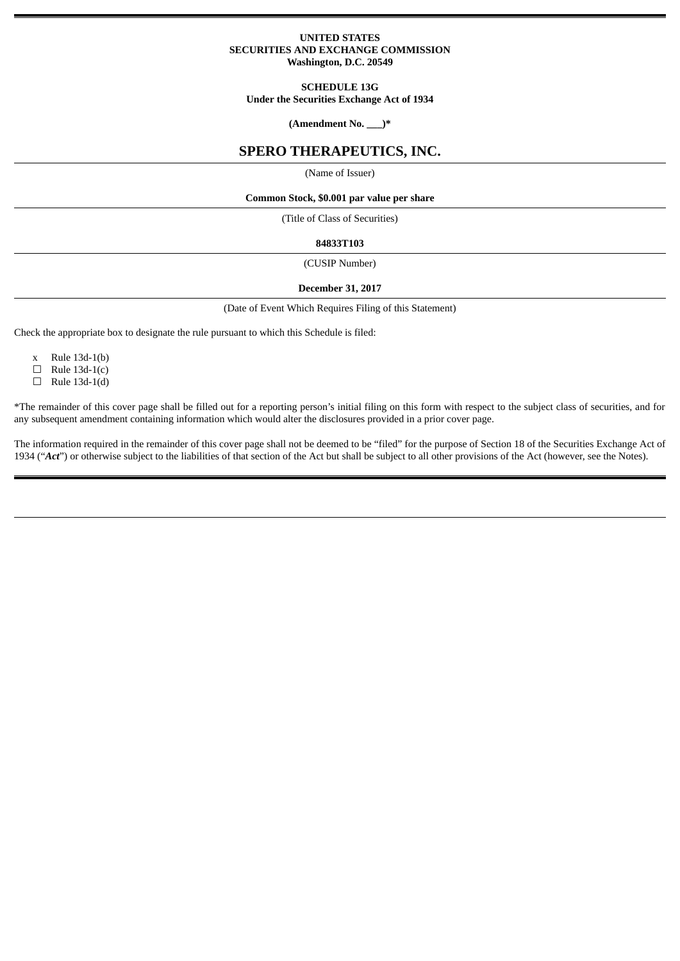## **UNITED STATES SECURITIES AND EXCHANGE COMMISSION Washington, D.C. 20549**

## **SCHEDULE 13G**

**Under the Securities Exchange Act of 1934**

**(Amendment No. \_\_\_)\***

# **SPERO THERAPEUTICS, INC.**

(Name of Issuer)

#### **Common Stock, \$0.001 par value per share**

(Title of Class of Securities)

### **84833T103**

(CUSIP Number)

## **December 31, 2017**

(Date of Event Which Requires Filing of this Statement)

Check the appropriate box to designate the rule pursuant to which this Schedule is filed:

- x Rule 13d-1(b)
- $\Box$  Rule 13d-1(c)
- $\Box$  Rule 13d-1(d)

\*The remainder of this cover page shall be filled out for a reporting person's initial filing on this form with respect to the subject class of securities, and for any subsequent amendment containing information which would alter the disclosures provided in a prior cover page.

The information required in the remainder of this cover page shall not be deemed to be "filed" for the purpose of Section 18 of the Securities Exchange Act of 1934 ("*Act*") or otherwise subject to the liabilities of that section of the Act but shall be subject to all other provisions of the Act (however, see the Notes).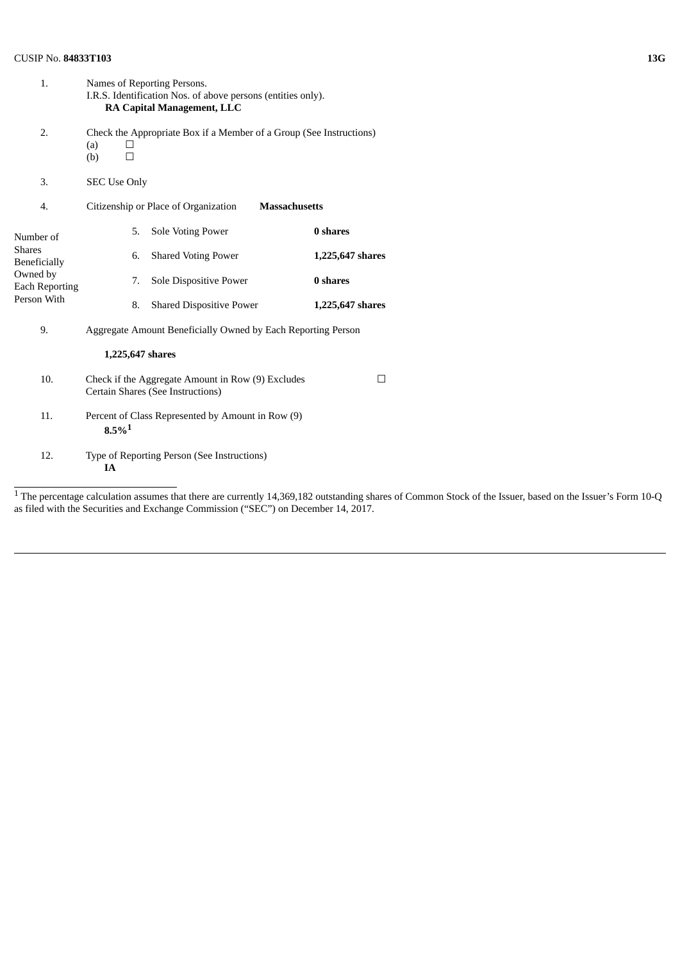# CUSIP No. **84833T103 13G**

| 1.                                                                                             | Names of Reporting Persons.<br>I.R.S. Identification Nos. of above persons (entities only).<br><b>RA Capital Management, LLC</b> |                                                                                                                                                                                                                             |                  |  |  |
|------------------------------------------------------------------------------------------------|----------------------------------------------------------------------------------------------------------------------------------|-----------------------------------------------------------------------------------------------------------------------------------------------------------------------------------------------------------------------------|------------------|--|--|
| 2.                                                                                             | Check the Appropriate Box if a Member of a Group (See Instructions)<br>(a)<br>$\perp$<br>(b)<br>$\Box$                           |                                                                                                                                                                                                                             |                  |  |  |
| 3.                                                                                             | <b>SEC Use Only</b>                                                                                                              |                                                                                                                                                                                                                             |                  |  |  |
| 4.                                                                                             | Citizenship or Place of Organization<br><b>Massachusetts</b>                                                                     |                                                                                                                                                                                                                             |                  |  |  |
| Number of<br><b>Shares</b><br>Beneficially<br>Owned by<br><b>Each Reporting</b><br>Person With | 5.                                                                                                                               | <b>Sole Voting Power</b>                                                                                                                                                                                                    | 0 shares         |  |  |
|                                                                                                | 6.                                                                                                                               | <b>Shared Voting Power</b>                                                                                                                                                                                                  | 1,225,647 shares |  |  |
|                                                                                                | 7.                                                                                                                               | Sole Dispositive Power                                                                                                                                                                                                      | 0 shares         |  |  |
|                                                                                                | 8.                                                                                                                               | <b>Shared Dispositive Power</b>                                                                                                                                                                                             | 1,225,647 shares |  |  |
| 9.                                                                                             | Aggregate Amount Beneficially Owned by Each Reporting Person                                                                     |                                                                                                                                                                                                                             |                  |  |  |
|                                                                                                | 1,225,647 shares                                                                                                                 |                                                                                                                                                                                                                             |                  |  |  |
| 10.                                                                                            | Check if the Aggregate Amount in Row (9) Excludes<br>$\mathsf{L}$<br>Certain Shares (See Instructions)                           |                                                                                                                                                                                                                             |                  |  |  |
| 11.                                                                                            | Percent of Class Represented by Amount in Row (9)<br>$8.5\%$ <sup>1</sup>                                                        |                                                                                                                                                                                                                             |                  |  |  |
| 12.                                                                                            | Type of Reporting Person (See Instructions)<br><b>IA</b>                                                                         |                                                                                                                                                                                                                             |                  |  |  |
| 1 տար                                                                                          | and a distance and a                                                                                                             | $-4.4$ and $-1.4$ and $-1.4$ and $-1.4$ and $-1.4$ and $-1.4$ and $-1.4$ and $-1.4$ and $-1.4$ and $-1.4$ and $-1.4$ and $-1.4$ and $-1.4$ and $-1.4$ and $-1.4$ and $-1.4$ and $-1.4$ and $-1.4$ and $-1.4$ and $-1.4$ and |                  |  |  |

<sup>&</sup>lt;sup>1</sup> The percentage calculation assumes that there are currently 14,369,182 outstanding shares of Common Stock of the Issuer, based on the Issuer's Form 10-Q as filed with the Securities and Exchange Commission ("SEC") on December 14, 2017.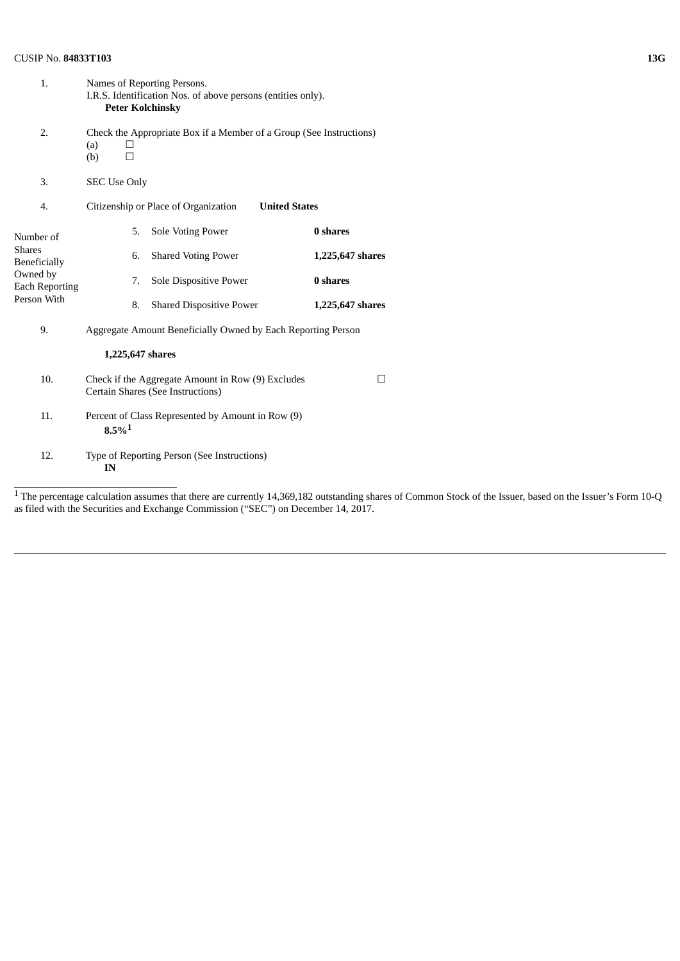# CUSIP No. **84833T103 13G**

| 1.                                                                                             | Names of Reporting Persons.<br>I.R.S. Identification Nos. of above persons (entities only).<br><b>Peter Kolchinsky</b> |                                 |                  |  |  |
|------------------------------------------------------------------------------------------------|------------------------------------------------------------------------------------------------------------------------|---------------------------------|------------------|--|--|
| 2.                                                                                             | Check the Appropriate Box if a Member of a Group (See Instructions)<br>(a)<br>(b)                                      |                                 |                  |  |  |
| 3.                                                                                             | <b>SEC Use Only</b>                                                                                                    |                                 |                  |  |  |
| 4.                                                                                             | Citizenship or Place of Organization<br><b>United States</b>                                                           |                                 |                  |  |  |
| Number of<br><b>Shares</b><br>Beneficially<br>Owned by<br><b>Each Reporting</b><br>Person With | 5.                                                                                                                     | <b>Sole Voting Power</b>        | 0 shares         |  |  |
|                                                                                                | 6.                                                                                                                     | <b>Shared Voting Power</b>      | 1,225,647 shares |  |  |
|                                                                                                | 7.                                                                                                                     | Sole Dispositive Power          | 0 shares         |  |  |
|                                                                                                | 8.                                                                                                                     | <b>Shared Dispositive Power</b> | 1,225,647 shares |  |  |
| 9.                                                                                             | Aggregate Amount Beneficially Owned by Each Reporting Person                                                           |                                 |                  |  |  |
|                                                                                                | 1,225,647 shares                                                                                                       |                                 |                  |  |  |
| 10.                                                                                            | Check if the Aggregate Amount in Row (9) Excludes<br>П<br>Certain Shares (See Instructions)                            |                                 |                  |  |  |
| 11.                                                                                            | Percent of Class Represented by Amount in Row (9)<br>$8.5\%$ <sup>1</sup>                                              |                                 |                  |  |  |
| 12.                                                                                            | Type of Reporting Person (See Instructions)<br>IN                                                                      |                                 |                  |  |  |
| $1 -$                                                                                          |                                                                                                                        |                                 |                  |  |  |

<sup>&</sup>lt;sup>1</sup> The percentage calculation assumes that there are currently 14,369,182 outstanding shares of Common Stock of the Issuer, based on the Issuer's Form 10-Q as filed with the Securities and Exchange Commission ("SEC") on December 14, 2017.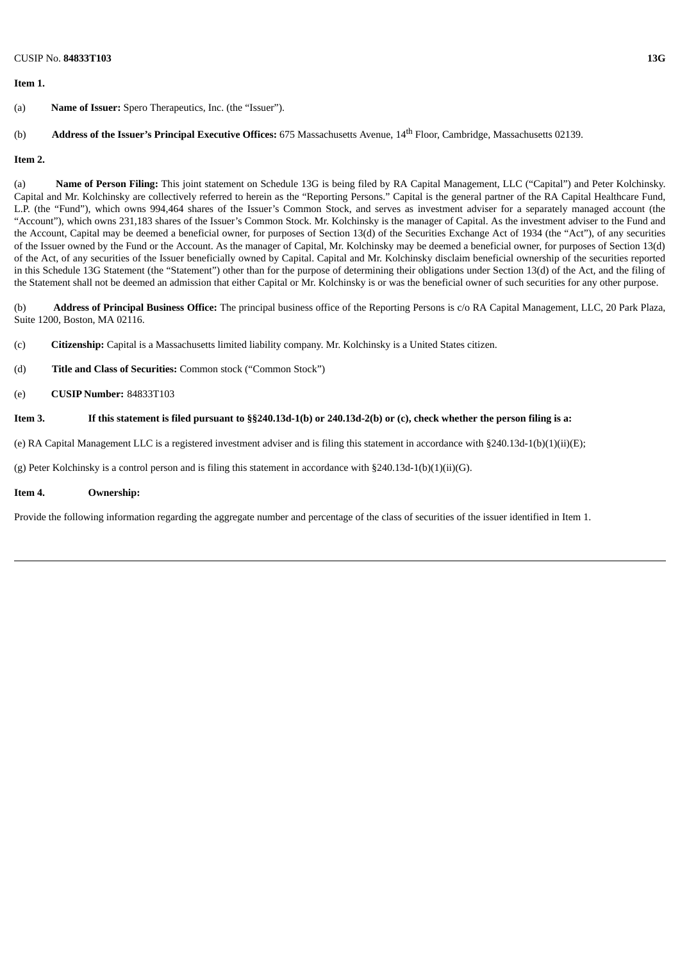## **Item 1.**

# (b) **Address of the Issuer's Principal Executive Offices:** 675 Massachusetts Avenue, 14 th Floor, Cambridge, Massachusetts 02139.

### **Item 2.**

(a) **Name of Person Filing:** This joint statement on Schedule 13G is being filed by RA Capital Management, LLC ("Capital") and Peter Kolchinsky. Capital and Mr. Kolchinsky are collectively referred to herein as the "Reporting Persons." Capital is the general partner of the RA Capital Healthcare Fund, L.P. (the "Fund"), which owns 994,464 shares of the Issuer's Common Stock, and serves as investment adviser for a separately managed account (the "Account"), which owns 231,183 shares of the Issuer's Common Stock. Mr. Kolchinsky is the manager of Capital. As the investment adviser to the Fund and the Account, Capital may be deemed a beneficial owner, for purposes of Section 13(d) of the Securities Exchange Act of 1934 (the "Act"), of any securities of the Issuer owned by the Fund or the Account. As the manager of Capital, Mr. Kolchinsky may be deemed a beneficial owner, for purposes of Section 13(d) of the Act, of any securities of the Issuer beneficially owned by Capital. Capital and Mr. Kolchinsky disclaim beneficial ownership of the securities reported in this Schedule 13G Statement (the "Statement") other than for the purpose of determining their obligations under Section 13(d) of the Act, and the filing of the Statement shall not be deemed an admission that either Capital or Mr. Kolchinsky is or was the beneficial owner of such securities for any other purpose.

(b) **Address of Principal Business Office:** The principal business office of the Reporting Persons is c/o RA Capital Management, LLC, 20 Park Plaza, Suite 1200, Boston, MA 02116.

- (c) **Citizenship:** Capital is a Massachusetts limited liability company. Mr. Kolchinsky is a United States citizen.
- (d) **Title and Class of Securities:** Common stock ("Common Stock")
- (e) **CUSIP Number:** 84833T103

## If this statement is filed pursuant to §§240.13d-1(b) or 240.13d-2(b) or (c), check whether the person filing is a:

(e) RA Capital Management LLC is a registered investment adviser and is filing this statement in accordance with §240.13d-1(b)(1)(ii)(E);

(g) Peter Kolchinsky is a control person and is filing this statement in accordance with §240.13d-1(b)(1)(ii)(G).

### **Item 4. Ownership:**

Provide the following information regarding the aggregate number and percentage of the class of securities of the issuer identified in Item 1.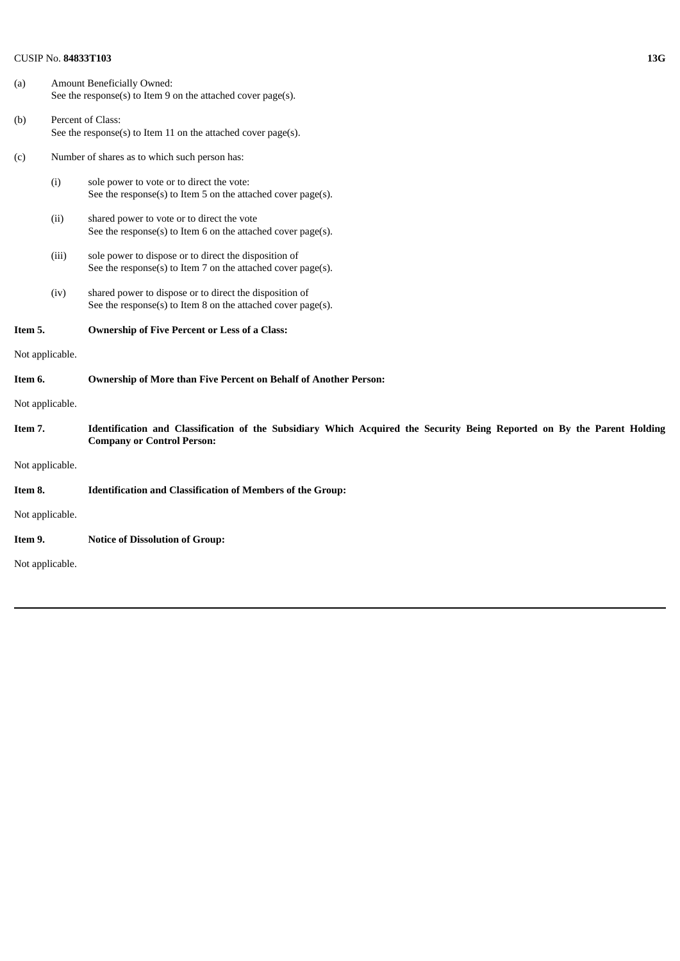# CUSIP No. **84833T103 13G**

| (a)             |       | Amount Beneficially Owned:<br>See the response(s) to Item 9 on the attached cover page(s).                                                                   |  |  |
|-----------------|-------|--------------------------------------------------------------------------------------------------------------------------------------------------------------|--|--|
| (b)             |       | Percent of Class:<br>See the response(s) to Item 11 on the attached cover page(s).                                                                           |  |  |
| (c)             |       | Number of shares as to which such person has:                                                                                                                |  |  |
|                 | (i)   | sole power to vote or to direct the vote:<br>See the response(s) to Item 5 on the attached cover page(s).                                                    |  |  |
|                 | (ii)  | shared power to vote or to direct the vote<br>See the response(s) to Item 6 on the attached cover page(s).                                                   |  |  |
|                 | (iii) | sole power to dispose or to direct the disposition of<br>See the response(s) to Item 7 on the attached cover page(s).                                        |  |  |
|                 | (iv)  | shared power to dispose or to direct the disposition of<br>See the response(s) to Item 8 on the attached cover page(s).                                      |  |  |
| Item 5.         |       | <b>Ownership of Five Percent or Less of a Class:</b>                                                                                                         |  |  |
| Not applicable. |       |                                                                                                                                                              |  |  |
| Item 6.         |       | <b>Ownership of More than Five Percent on Behalf of Another Person:</b>                                                                                      |  |  |
| Not applicable. |       |                                                                                                                                                              |  |  |
| Item 7.         |       | Identification and Classification of the Subsidiary Which Acquired the Security Being Reported on By the Parent Holding<br><b>Company or Control Person:</b> |  |  |
| Not applicable. |       |                                                                                                                                                              |  |  |
| Item 8.         |       | <b>Identification and Classification of Members of the Group:</b>                                                                                            |  |  |
| Not applicable. |       |                                                                                                                                                              |  |  |
| Item 9.         |       | <b>Notice of Dissolution of Group:</b>                                                                                                                       |  |  |
| Not applicable. |       |                                                                                                                                                              |  |  |
|                 |       |                                                                                                                                                              |  |  |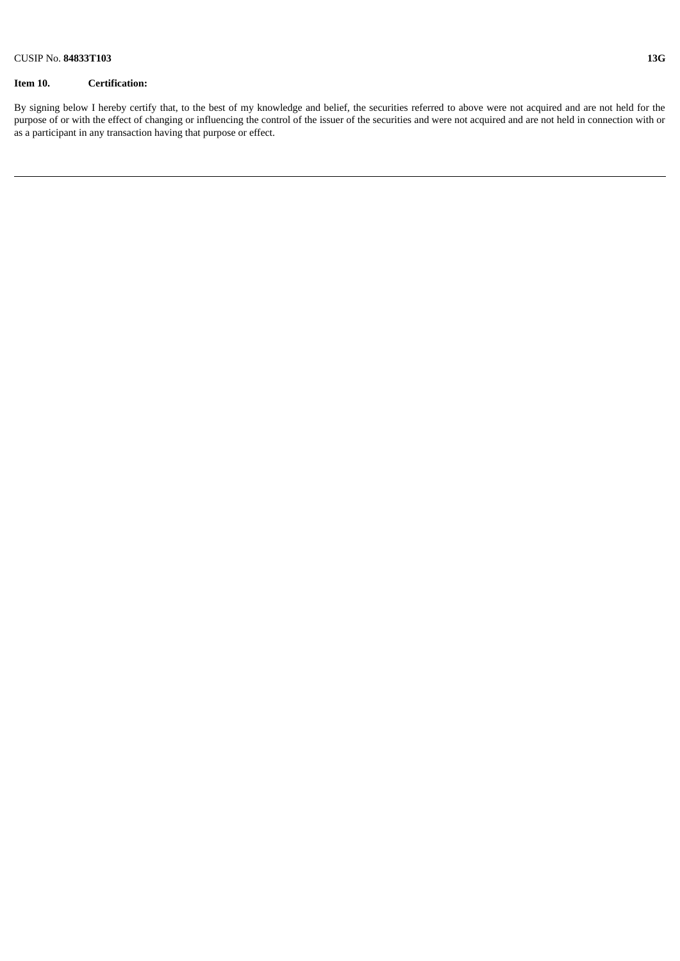# **Item 10. Certification:**

By signing below I hereby certify that, to the best of my knowledge and belief, the securities referred to above were not acquired and are not held for the purpose of or with the effect of changing or influencing the control of the issuer of the securities and were not acquired and are not held in connection with or as a participant in any transaction having that purpose or effect.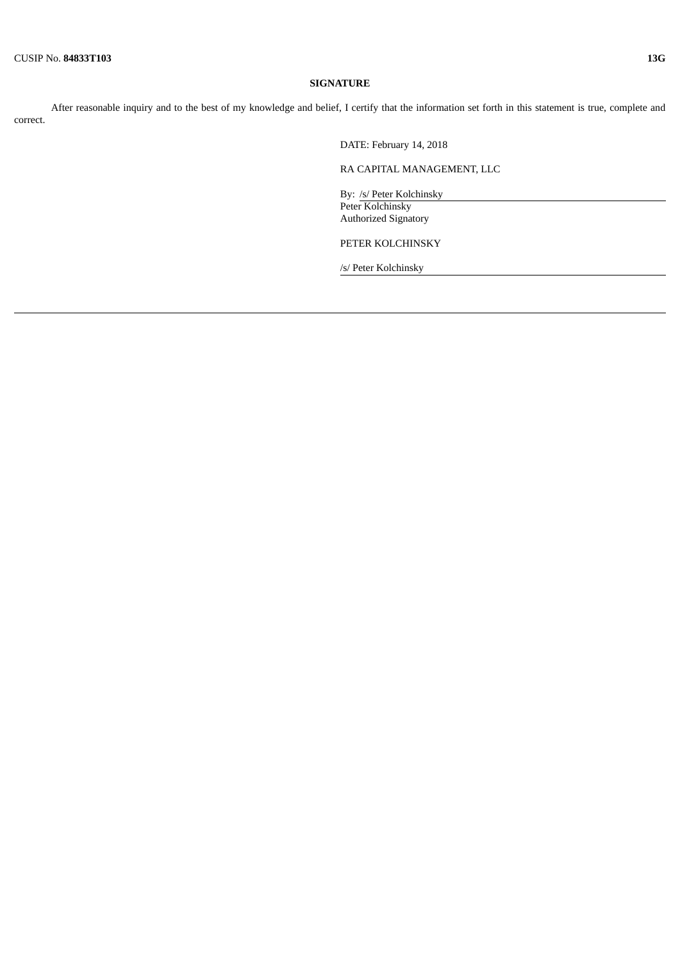#### **SIGNATURE**

After reasonable inquiry and to the best of my knowledge and belief, I certify that the information set forth in this statement is true, complete and correct.

DATE: February 14, 2018

RA CAPITAL MANAGEMENT, LLC

By: /s/ Peter Kolchinsky Peter Kolchinsky Authorized Signatory

PETER KOLCHINSKY

/s/ Peter Kolchinsky